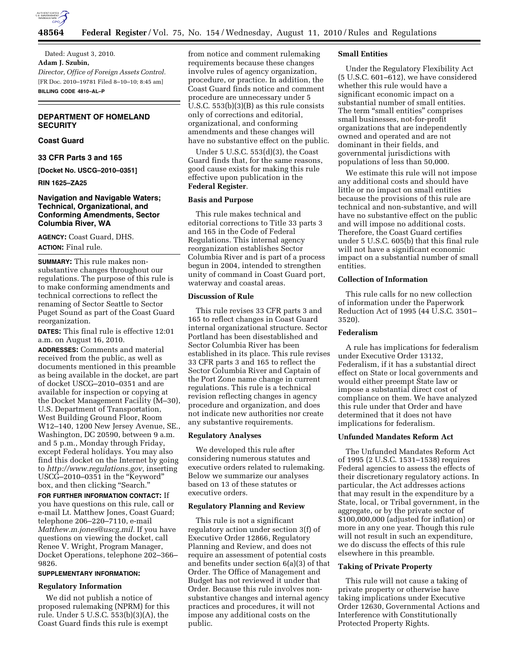

Dated: August 3, 2010. **Adam J. Szubin,**  *Director, Office of Foreign Assets Control.*  [FR Doc. 2010–19781 Filed 8–10–10; 8:45 am] **BILLING CODE 4810–AL–P** 

# **DEPARTMENT OF HOMELAND SECURITY**

# **Coast Guard**

**33 CFR Parts 3 and 165** 

**[Docket No. USCG–2010–0351]** 

**RIN 1625–ZA25** 

## **Navigation and Navigable Waters; Technical, Organizational, and Conforming Amendments, Sector Columbia River, WA**

**AGENCY:** Coast Guard, DHS. **ACTION:** Final rule.

**SUMMARY:** This rule makes nonsubstantive changes throughout our regulations. The purpose of this rule is to make conforming amendments and technical corrections to reflect the renaming of Sector Seattle to Sector Puget Sound as part of the Coast Guard reorganization.

**DATES:** This final rule is effective 12:01 a.m. on August 16, 2010.

**ADDRESSES:** Comments and material received from the public, as well as documents mentioned in this preamble as being available in the docket, are part of docket USCG–2010–0351 and are available for inspection or copying at the Docket Management Facility (M–30), U.S. Department of Transportation, West Building Ground Floor, Room W12–140, 1200 New Jersey Avenue, SE., Washington, DC 20590, between 9 a.m. and 5 p.m., Monday through Friday, except Federal holidays. You may also find this docket on the Internet by going to *[http://www.regulations.gov,](http://www.regulations.gov)* inserting USCG–2010–0351 in the ''Keyword'' box, and then clicking "Search."

**FOR FURTHER INFORMATION CONTACT:** If you have questions on this rule, call or e-mail Lt. Matthew Jones, Coast Guard; telephone 206–220–7110, e-mail *[Matthew.m.jones@uscg.mil.](mailto:Matthew.m.jones@uscg.mil)* If you have questions on viewing the docket, call Renee V. Wright, Program Manager, Docket Operations, telephone 202–366– 9826.

#### **SUPPLEMENTARY INFORMATION:**

### **Regulatory Information**

We did not publish a notice of proposed rulemaking (NPRM) for this rule. Under 5 U.S.C. 553(b)(3)(A), the Coast Guard finds this rule is exempt

from notice and comment rulemaking requirements because these changes involve rules of agency organization, procedure, or practice. In addition, the Coast Guard finds notice and comment procedure are unnecessary under 5 U.S.C. 553(b)(3)(B) as this rule consists only of corrections and editorial, organizational, and conforming amendments and these changes will have no substantive effect on the public.

Under 5 U.S.C. 553(d)(3), the Coast Guard finds that, for the same reasons, good cause exists for making this rule effective upon publication in the **Federal Register**.

# **Basis and Purpose**

This rule makes technical and editorial corrections to Title 33 parts 3 and 165 in the Code of Federal Regulations. This internal agency reorganization establishes Sector Columbia River and is part of a process begun in 2004, intended to strengthen unity of command in Coast Guard port, waterway and coastal areas.

### **Discussion of Rule**

This rule revises 33 CFR parts 3 and 165 to reflect changes in Coast Guard internal organizational structure. Sector Portland has been disestablished and Sector Columbia River has been established in its place. This rule revises 33 CFR parts 3 and 165 to reflect the Sector Columbia River and Captain of the Port Zone name change in current regulations. This rule is a technical revision reflecting changes in agency procedure and organization, and does not indicate new authorities nor create any substantive requirements.

#### **Regulatory Analyses**

We developed this rule after considering numerous statutes and executive orders related to rulemaking. Below we summarize our analyses based on 13 of these statutes or executive orders.

#### **Regulatory Planning and Review**

This rule is not a significant regulatory action under section 3(f) of Executive Order 12866, Regulatory Planning and Review, and does not require an assessment of potential costs and benefits under section 6(a)(3) of that Order. The Office of Management and Budget has not reviewed it under that Order. Because this rule involves nonsubstantive changes and internal agency practices and procedures, it will not impose any additional costs on the public.

#### **Small Entities**

Under the Regulatory Flexibility Act (5 U.S.C. 601–612), we have considered whether this rule would have a significant economic impact on a substantial number of small entities. The term "small entities" comprises small businesses, not-for-profit organizations that are independently owned and operated and are not dominant in their fields, and governmental jurisdictions with populations of less than 50,000.

We estimate this rule will not impose any additional costs and should have little or no impact on small entities because the provisions of this rule are technical and non-substantive, and will have no substantive effect on the public and will impose no additional costs. Therefore, the Coast Guard certifies under 5 U.S.C. 605(b) that this final rule will not have a significant economic impact on a substantial number of small entities.

# **Collection of Information**

This rule calls for no new collection of information under the Paperwork Reduction Act of 1995 (44 U.S.C. 3501– 3520).

#### **Federalism**

A rule has implications for federalism under Executive Order 13132, Federalism, if it has a substantial direct effect on State or local governments and would either preempt State law or impose a substantial direct cost of compliance on them. We have analyzed this rule under that Order and have determined that it does not have implications for federalism.

#### **Unfunded Mandates Reform Act**

The Unfunded Mandates Reform Act of 1995 (2 U.S.C. 1531–1538) requires Federal agencies to assess the effects of their discretionary regulatory actions. In particular, the Act addresses actions that may result in the expenditure by a State, local, or Tribal government, in the aggregate, or by the private sector of \$100,000,000 (adjusted for inflation) or more in any one year. Though this rule will not result in such an expenditure, we do discuss the effects of this rule elsewhere in this preamble.

## **Taking of Private Property**

This rule will not cause a taking of private property or otherwise have taking implications under Executive Order 12630, Governmental Actions and Interference with Constitutionally Protected Property Rights.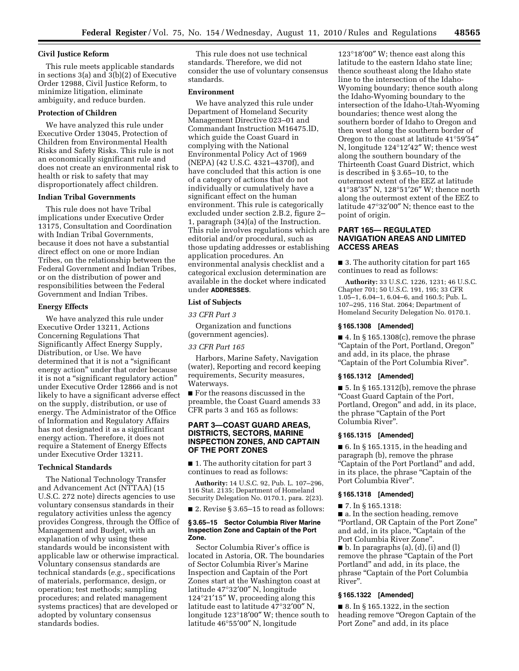### **Civil Justice Reform**

This rule meets applicable standards in sections 3(a) and 3(b)(2) of Executive Order 12988, Civil Justice Reform, to minimize litigation, eliminate ambiguity, and reduce burden.

#### **Protection of Children**

We have analyzed this rule under Executive Order 13045, Protection of Children from Environmental Health Risks and Safety Risks. This rule is not an economically significant rule and does not create an environmental risk to health or risk to safety that may disproportionately affect children.

### **Indian Tribal Governments**

This rule does not have Tribal implications under Executive Order 13175, Consultation and Coordination with Indian Tribal Governments, because it does not have a substantial direct effect on one or more Indian Tribes, on the relationship between the Federal Government and Indian Tribes, or on the distribution of power and responsibilities between the Federal Government and Indian Tribes.

### **Energy Effects**

We have analyzed this rule under Executive Order 13211, Actions Concerning Regulations That Significantly Affect Energy Supply, Distribution, or Use. We have determined that it is not a "significant energy action'' under that order because it is not a "significant regulatory action" under Executive Order 12866 and is not likely to have a significant adverse effect on the supply, distribution, or use of energy. The Administrator of the Office of Information and Regulatory Affairs has not designated it as a significant energy action. Therefore, it does not require a Statement of Energy Effects under Executive Order 13211.

#### **Technical Standards**

The National Technology Transfer and Advancement Act (NTTAA) (15 U.S.C. 272 note) directs agencies to use voluntary consensus standards in their regulatory activities unless the agency provides Congress, through the Office of Management and Budget, with an explanation of why using these standards would be inconsistent with applicable law or otherwise impractical. Voluntary consensus standards are technical standards (*e.g.,* specifications of materials, performance, design, or operation; test methods; sampling procedures; and related management systems practices) that are developed or adopted by voluntary consensus standards bodies.

This rule does not use technical standards. Therefore, we did not consider the use of voluntary consensus standards.

#### **Environment**

We have analyzed this rule under Department of Homeland Security Management Directive 023–01 and Commandant Instruction M16475.lD, which guide the Coast Guard in complying with the National Environmental Policy Act of 1969 (NEPA) (42 U.S.C. 4321–4370f), and have concluded that this action is one of a category of actions that do not individually or cumulatively have a significant effect on the human environment. This rule is categorically excluded under section 2.B.2, figure 2– 1, paragraph (34)(a) of the Instruction. This rule involves regulations which are editorial and/or procedural, such as those updating addresses or establishing application procedures. An environmental analysis checklist and a categorical exclusion determination are available in the docket where indicated under **ADDRESSES**.

#### **List of Subjects**

*33 CFR Part 3* 

Organization and functions (government agencies).

### *33 CFR Part 165*

Harbors, Marine Safety, Navigation (water), Reporting and record keeping requirements, Security measures, Waterways.

■ For the reasons discussed in the preamble, the Coast Guard amends 33 CFR parts 3 and 165 as follows:

## **PART 3—COAST GUARD AREAS, DISTRICTS, SECTORS, MARINE INSPECTION ZONES, AND CAPTAIN OF THE PORT ZONES**

■ 1. The authority citation for part 3 continues to read as follows:

**Authority:** 14 U.S.C. 92, Pub. L. 107–296, 116 Stat. 2135; Department of Homeland Security Delegation No. 0170.1, para. 2(23).

■ 2. Revise § 3.65–15 to read as follows:

#### **§ 3.65–15 Sector Columbia River Marine Inspection Zone and Captain of the Port Zone.**

Sector Columbia River's office is located in Astoria, OR. The boundaries of Sector Columbia River's Marine Inspection and Captain of the Port Zones start at the Washington coast at latitude 47°32′00″ N, longitude 124°21′15″ W, proceeding along this latitude east to latitude  $47^{\circ}32'00''$  N, longitude 123°18′00″ W; thence south to latitude 46°55′00″ N, longitude

123°18′00″ W; thence east along this latitude to the eastern Idaho state line; thence southeast along the Idaho state line to the intersection of the Idaho-Wyoming boundary; thence south along the Idaho-Wyoming boundary to the intersection of the Idaho-Utah-Wyoming boundaries; thence west along the southern border of Idaho to Oregon and then west along the southern border of Oregon to the coast at latitude 41°59′54″ N, longitude 124°12′42″ W; thence west along the southern boundary of the Thirteenth Coast Guard District, which is described in § 3.65–10, to the outermost extent of the EEZ at latitude 41°38′35″ N, 128°51′26″ W; thence north along the outermost extent of the EEZ to latitude 47°32′00″ N; thence east to the point of origin.

## **PART 165— REGULATED NAVIGATION AREAS AND LIMITED ACCESS AREAS**

■ 3. The authority citation for part 165 continues to read as follows:

**Authority:** 33 U.S.C. 1226, 1231; 46 U.S.C. Chapter 701; 50 U.S.C. 191, 195; 33 CFR 1.05–1, 6.04–1, 6.04–6, and 160.5; Pub. L. 107–295, 116 Stat. 2064; Department of Homeland Security Delegation No. 0170.1.

### **§ 165.1308 [Amended]**

 $\blacksquare$  4. In § 165.1308(c), remove the phrase ''Captain of the Port, Portland, Oregon'' and add, in its place, the phrase ''Captain of the Port Columbia River''.

#### **§ 165.1312 [Amended]**

 $\blacksquare$  5. In § 165.1312(b), remove the phrase ''Coast Guard Captain of the Port, Portland, Oregon'' and add, in its place, the phrase ''Captain of the Port Columbia River''.

#### **§ 165.1315 [Amended]**

 $\blacksquare$  6. In § 165.1315, in the heading and paragraph (b), remove the phrase ''Captain of the Port Portland'' and add, in its place, the phrase "Captain of the Port Columbia River''.

### **§ 165.1318 [Amended]**

■ 7. In § 165.1318:

■ a. In the section heading, remove ''Portland, OR Captain of the Port Zone'' and add, in its place, "Captain of the Port Columbia River Zone''*.* 

 $\blacksquare$  b. In paragraphs (a), (d), (i) and (l) remove the phrase ''Captain of the Port Portland'' and add, in its place, the phrase ''Captain of the Port Columbia River''.

## **§ 165.1322 [Amended]**

■ 8. In § 165.1322, in the section heading remove ''Oregon Captain of the Port Zone'' and add, in its place